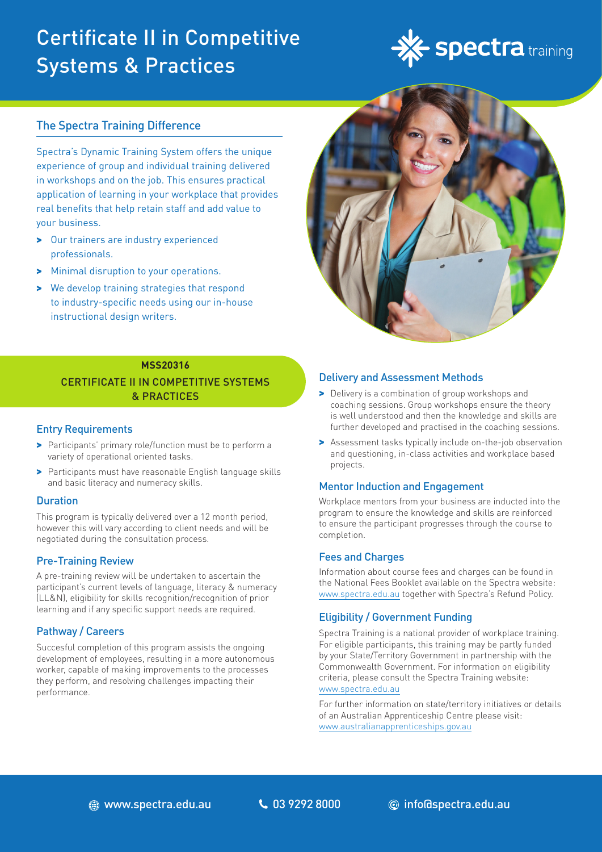# Certificate II in Competitive Systems & Practices



# The Spectra Training Difference

Spectra's Dynamic Training System offers the unique experience of group and individual training delivered in workshops and on the job. This ensures practical application of learning in your workplace that provides real benefits that help retain staff and add value to your business.

- > Our trainers are industry experienced professionals.
- > Minimal disruption to your operations.
- > We develop training strategies that respond to industry-specific needs using our in-house instructional design writers.



# **MSS20316** CERTIFICATE II IN COMPETITIVE SYSTEMS & PRACTICES

#### Entry Requirements

- > Participants' primary role/function must be to perform a variety of operational oriented tasks.
- > Participants must have reasonable English language skills and basic literacy and numeracy skills.

#### Duration

This program is typically delivered over a 12 month period, however this will vary according to client needs and will be negotiated during the consultation process.

# Pre-Training Review

A pre-training review will be undertaken to ascertain the participant's current levels of language, literacy & numeracy (LL&N), eligibility for skills recognition/recognition of prior learning and if any specific support needs are required.

# Pathway / Careers

Succesful completion of this program assists the ongoing development of employees, resulting in a more autonomous worker, capable of making improvements to the processes they perform, and resolving challenges impacting their performance.

#### Delivery and Assessment Methods

- > Delivery is a combination of group workshops and coaching sessions. Group workshops ensure the theory is well understood and then the knowledge and skills are further developed and practised in the coaching sessions.
- > Assessment tasks typically include on-the-job observation and questioning, in-class activities and workplace based projects.

#### Mentor Induction and Engagement

Workplace mentors from your business are inducted into the program to ensure the knowledge and skills are reinforced to ensure the participant progresses through the course to completion.

#### Fees and Charges

Information about course fees and charges can be found in the National Fees Booklet available on the Spectra website: www.spectra.edu.au together with Spectra's Refund Policy.

#### Eligibility / Government Funding

Spectra Training is a national provider of workplace training. For eligible participants, this training may be partly funded by your State/Territory Government in partnership with the Commonwealth Government. For information on eligibility criteria, please consult the Spectra Training website: [www.spectra.edu.au](https://www.spectra.edu.au/)

For further information on state/territory initiatives or details of an Australian Apprenticeship Centre please visit: [www.australianapprenticeships.gov.au](https://www.australianapprenticeships.gov.au/)